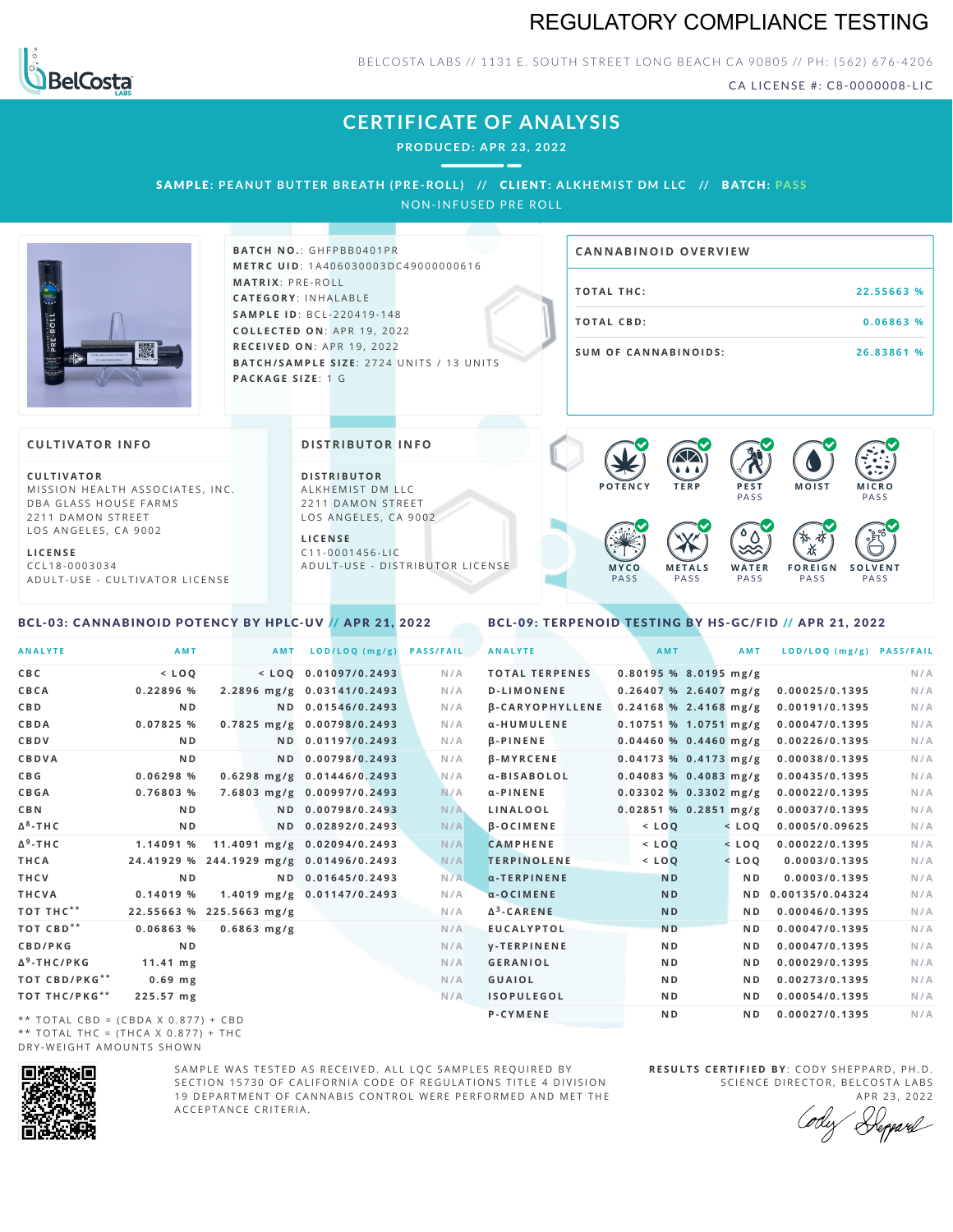# REGULATORY COMPLIANCE TESTING



BELCOSTA LABS // 1131 E. SOUTH STREET LONG BEACH CA 90805 // PH: (562) 676-4206

CA LICENSE #: C8-0000008-LIC

# **CERTIFICATE OF ANALYSIS**

**PRODUCED: A PR 23, 2022**

SAMPLE: PEANUT BUTTER BREATH (PRE-ROLL) // CLIENT: ALKHEMIST DM LLC // BATCH: PASS

NON-INFUSED PRE ROLL



**BATCH NO.: GHFPBB0401PR M E T R C U ID** :1 A 4 0 6 0 3 0 0 0 3 D C 4 9 0 0 0 0 0 0 6 1 6 **M AT R I X** :P R E - R O L L **CAT E G O R Y** : I N H A L A B L E **SA M P L E I D** :B C L - 2 2 0 4 1 9 - 1 4 8 **C O L L E C T E D O N** :A P R 1 9 ,2 0 2 2 **R E C E I V E D O N** : A P R 1 9 , 2 0 2 2 **BATCH/SAMPLE SIZE: 2724 UNITS / 13 UNITS PAC KA G E S I Z E** : 1 G

# **T O TAL T H C :2 2 . 5 5 6 6 3 % T O TAL CB D :0 . 0 6 8 6 3 % S U M O F CA N N ABI N O I D S : 2 6 . 8 3 8 6 1 % CA N N ABI N OID OVERVI EW**

#### **CULTIVATOR I N FO**

**C U L T I VAT O R** MISSION HEALTH ASSOCIATES, INC. DBA GLASS HOUSE FARMS 2211 DAMON STREET LOS ANGELES, CA 9002

**L I C E N S E** C C L 1 8 - 0 0 0 3 0 3 4 A D U L T - U S E - C U L T I V A T O R L I C E N S E

## <span id="page-0-0"></span>BCL-03: CANNABINOID POTENCY BY HPLC-UV // APR 21, 2022

#### **DI STRIBUTOR I N FO**

**D I S T R IB U T O R** ALKHEMIST DM LLC 2211 DAMON STREET LOS ANGELES, CA 9002

**L I C E N S E**  $C$  1 1 - 0 0 0 1 4 5 6 - L I C A D U L T - U S E - D I STRI B U T O R LICENSE



#### <span id="page-0-1"></span>BCL-09: TERPENOID TESTING BY HS-GC/FID // APR 21, 2022

| <b>ANALYTE</b>                        | <b>AMT</b>                              | AMT                            | LOD/LOQ (mg/g)         | <b>PASS/FAIL</b> | <b>ANALYTE</b>         |                         | <b>AMT</b>     | <b>AMT</b>     | LOD/LOQ (mg/g) PASS/FAIL |     |
|---------------------------------------|-----------------------------------------|--------------------------------|------------------------|------------------|------------------------|-------------------------|----------------|----------------|--------------------------|-----|
| CBC                                   | $<$ LOQ                                 |                                | $<$ LOO 0.01097/0.2493 | N/A              | <b>TOTAL TERPENES</b>  | $0.80195$ % 8.0195 mg/g |                |                |                          | N/A |
| CBCA                                  | 0.22896 %                               | 2.2896 mg/g 0.03141/0.2493     |                        | N/A              | <b>D-LIMONENE</b>      | $0.26407$ % 2.6407 mg/g |                |                | 0.00025/0.1395           | N/A |
| C B D                                 | N <sub>D</sub>                          |                                | ND 0.01546/0.2493      | N/A              | <b>B-CARYOPHYLLENE</b> | $0.24168$ % 2.4168 mg/g |                |                | 0.00191/0.1395           | N/A |
| CBDA                                  | 0.07825%                                | 0.7825 mg/g 0.00798/0.2493     |                        | N/A              | α-HUMULENE             | $0.10751$ % 1.0751 mg/g |                |                | 0.00047/0.1395           | N/A |
| CBDV                                  | N <sub>D</sub>                          |                                | ND 0.01197/0.2493      | N/A              | $\beta$ -PINENE        | $0.04460$ % 0.4460 mg/g |                |                | 0.00226/0.1395           | N/A |
| CBDVA                                 | N <sub>D</sub>                          |                                | ND 0.00798/0.2493      | N/A              | <b>B-MYRCENE</b>       | $0.04173$ % 0.4173 mg/g |                |                | 0.00038/0.1395           | N/A |
| C B G                                 | 0.06298 %                               | $0.6298$ mg/g $0.01446/0.2493$ |                        | N/A              | α-BISABOLOL            | $0.04083$ % 0.4083 mg/g |                |                | 0.00435/0.1395           | N/A |
| CBGA                                  | 0.76803 %                               | 7.6803 mg/g 0.00997/0.2493     |                        | N/A              | $\alpha$ -PINENE       | $0.03302$ % 0.3302 mg/g |                |                | 0.00022/0.1395           | N/A |
| C B N                                 | N <sub>D</sub>                          |                                | ND 0.00798/0.2493      | N/A              | LINALOOL               | $0.02851$ % 0.2851 mg/g |                |                | 0.00037/0.1395           | N/A |
| Δ <sup>8</sup> -ΤΗ C                  | N <sub>D</sub>                          |                                | ND 0.02892/0.2493      | N/A              | $\beta$ -OCIMENE       | $<$ $LOQ$               |                | $<$ LOQ        | 0.0005/0.09625           | N/A |
| Δ <sup>9</sup> -ΤΗ C                  | 1.14091 %                               | 11.4091 mg/g 0.02094/0.2493    |                        | N/A              | <b>CAMPHENE</b>        | $<$ $LOO$               |                | $<$ LOO        | 0.00022/0.1395           | N/A |
| THCA                                  | 24.41929 % 244.1929 mg/g 0.01496/0.2493 |                                |                        | N/A              | <b>TERPINOLENE</b>     | $<$ LOQ                 |                | $<$ LOQ        | 0.0003/0.1395            | N/A |
| THCV                                  | N <sub>D</sub>                          |                                | ND 0.01645/0.2493      | N/A              | $\alpha$ -TERPINENE    |                         | <b>ND</b>      | N <sub>D</sub> | 0.0003/0.1395            | N/A |
| THCVA                                 | $0.14019$ %                             | 1.4019 mg/g 0.01147/0.2493     |                        | N/A              | $\alpha$ -OCIMENE      |                         | <b>ND</b>      | N D            | 0.00135/0.04324          | N/A |
| тот тнс**                             | 22.55663 % 225.5663 mg/g                |                                |                        | N/A              | $\Delta^3$ -CARENE     |                         | <b>ND</b>      | N <sub>D</sub> | 0.00046/0.1395           | N/A |
| ТОТ СВD**                             | 0.06863%                                | $0.6863$ mg/g                  |                        | N/A              | <b>EUCALYPTOL</b>      |                         | N <sub>D</sub> | N D            | 0.00047/0.1395           | N/A |
| CBD/PKG                               | N <sub>D</sub>                          |                                |                        | N/A              | <b>V-TERPINENE</b>     |                         | N <sub>D</sub> | N <sub>D</sub> | 0.00047/0.1395           | N/A |
| Δ <sup>9</sup> -THC/PKG               | $11.41$ mg                              |                                |                        | N/A              | <b>GERANIOL</b>        |                         | ND.            | N <sub>D</sub> | 0.00029/0.1395           | N/A |
| ТОТ СВD/РКG**                         | $0.69$ mg                               |                                |                        | N/A              | <b>GUAIOL</b>          |                         | ND.            | N <sub>D</sub> | 0.00273/0.1395           | N/A |
| ТОТ ТНС/РКG**                         | 225.57 mg                               |                                |                        | N/A              | <b>ISOPULEGOL</b>      |                         | ND.            | N <sub>D</sub> | 0.00054/0.1395           | N/A |
| $**$ TOTAL CRD = (CRDA V 0.077) + CRD |                                         |                                |                        |                  | P-CYMENE               |                         | ND.            | N <sub>D</sub> | 0.00027/0.1395           | N/A |

 $**$  TOTAL CBD = (CBDA X 0.877) + CBD \*\* TOTAL THC =  $(THCA X 0.877) + THC$ DRY-WEIGHT AMOUNTS SHOWN



SAMPLE WAS TESTED AS RECEIVED. ALL LOC SAMPLES REQUIRED BY SECTION 15730 OF CALIFORNIA CODE OF REGULATIONS TITLE 4 DIVISION 19 DEPARTMENT OF CANNABIS CONTROL WERE PERFORMED AND MET THE A C C E P T A N C E C R I T E R I A .

**R E S U L T S C E R T I F I E D BY** : C O D Y S H E P P A R D ,P H .D . SCIENCE DIRECTOR, BELCOSTA LABS

A P R 23, 2022 Depard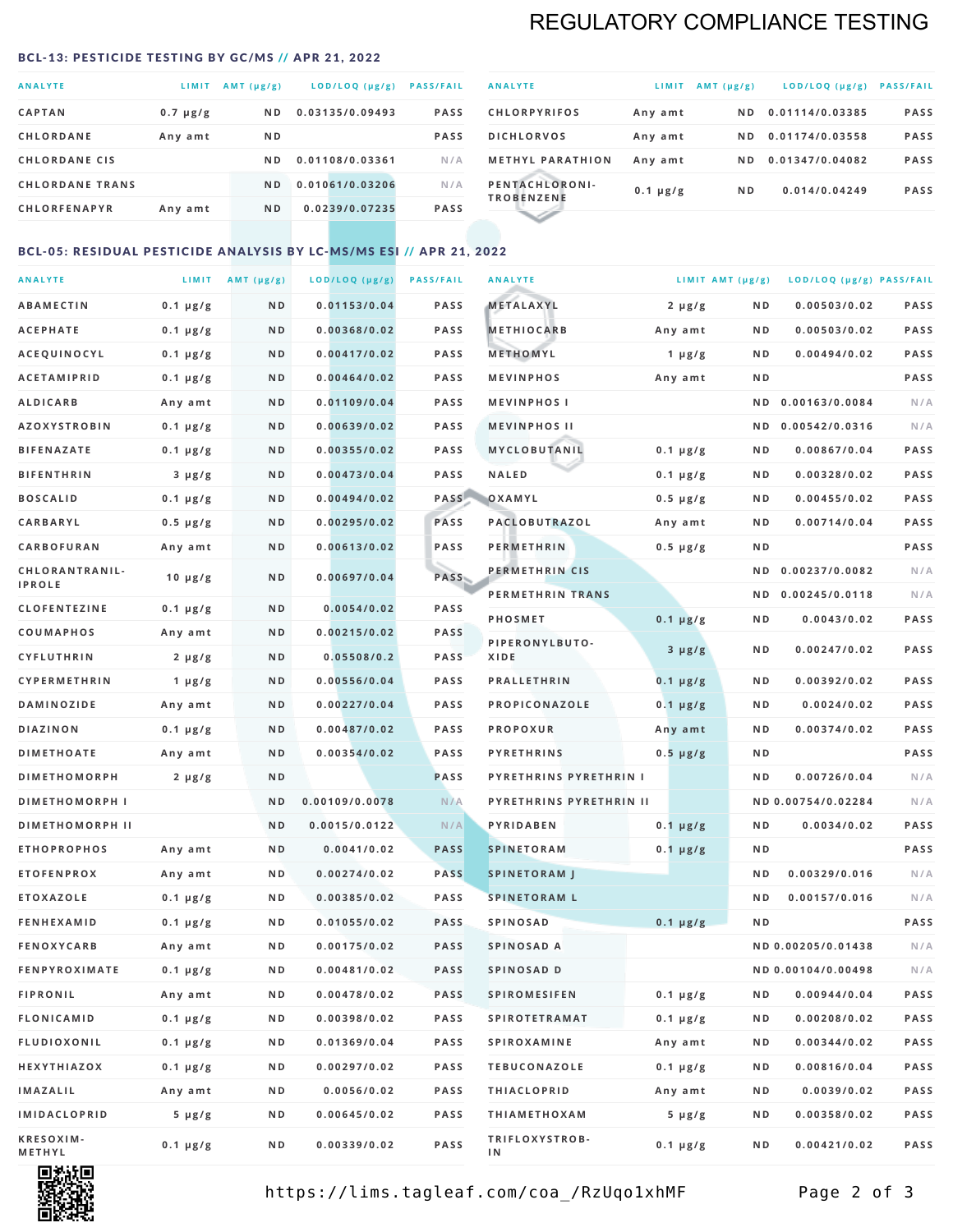# REGULATORY COMPLIANCE TESTING

#### <span id="page-1-0"></span>BCL-13: PESTICIDE TESTING BY GC/MS // APR 21, 2022

| <b>ANALYTE</b>         | <b>LIMIT</b>  | $AMT(\mu g/g)$ | LOD/LOQ (µg/g)  | <b>PASS/FAIL</b> |
|------------------------|---------------|----------------|-----------------|------------------|
| <b>CAPTAN</b>          | $0.7 \mu g/g$ | N D            | 0.03135/0.09493 | <b>PASS</b>      |
| <b>CHLORDANE</b>       | Any amt       | N <sub>D</sub> |                 | <b>PASS</b>      |
| <b>CHLORDANE CIS</b>   |               | N D            | 0.01108/0.03361 | N/A              |
| <b>CHLORDANE TRANS</b> |               | ND.            | 0.01061/0.03206 | N/A              |
| <b>CHLORFENAPYR</b>    | Any amt       | N D            | 0.0239/0.07235  | <b>PASS</b>      |
|                        |               |                |                 |                  |

| <b>ANALYTE</b>                      | LIMIT         | $AMT(\mu g/g)$ | $LOD/LOQ$ ( $\mu g/g$ ) | <b>PASS/FAIL</b> |
|-------------------------------------|---------------|----------------|-------------------------|------------------|
| <b>CHLORPYRIFOS</b>                 | Any amt       | ND.            | 0.01114/0.03385         | <b>PASS</b>      |
| <b>DICHLORVOS</b>                   | Any amt       | ND.            | 0.01174/0.03558         | <b>PASS</b>      |
| <b>METHYL PARATHION</b>             | Any amt       | ND.            | 0.01347/0.04082         | <b>PASS</b>      |
| PENTACHLORONI-<br><b>TROBENZENE</b> | $0.1 \mu g/g$ | ND.            | 0.014/0.04249           | <b>PASS</b>      |
|                                     |               |                |                         |                  |

## BCL-05: RESIDUAL PESTICIDE ANALYSIS BY LC-MS/MS ESI // APR 21, 2022

| <b>ANALYTE</b>             |               | LIMIT $AMT(\mu g/g)$ | LOD/LOQ (µg/g) | <b>PASS/FAIL</b> | <b>ANALYTE</b>                | LIMIT AMT (µg/g) |                | LOD/LOQ (µg/g) PASS/FAIL |             |
|----------------------------|---------------|----------------------|----------------|------------------|-------------------------------|------------------|----------------|--------------------------|-------------|
| <b>ABAMECTIN</b>           | $0.1 \mu g/g$ | N D                  | 0.01153/0.04   | <b>PASS</b>      | <b>METALAXYL</b>              | $2 \mu g/g$      | N D            | 0.00503/0.02             | PASS        |
| <b>ACEPHATE</b>            | $0.1 \mu g/g$ | N D                  | 0.00368/0.02   | <b>PASS</b>      | <b>METHIOCARB</b>             | Any amt          | N D            | 0.00503/0.02             | PASS        |
| ACEQUINOCYL                | $0.1 \mu g/g$ | ND                   | 0.00417/0.02   | <b>PASS</b>      | METHOMYL                      | $1 \mu g/g$      | N D            | 0.00494/0.02             | PASS        |
| <b>ACETAMIPRID</b>         | $0.1 \mu g/g$ | N D                  | 0.00464/0.02   | <b>PASS</b>      | <b>MEVINPHOS</b>              | Any amt          | N D            |                          | PASS        |
| <b>ALDICARB</b>            | Any amt       | N D                  | 0.01109/0.04   | PASS             | <b>MEVINPHOSI</b>             |                  | N D            | 0.00163/0.0084           | N/A         |
| <b>AZOXYSTROBIN</b>        | $0.1 \mu g/g$ | N D                  | 0.00639/0.02   | <b>PASS</b>      | <b>MEVINPHOS II</b>           |                  | N D            | 0.00542/0.0316           | N/A         |
| <b>BIFENAZATE</b>          | $0.1 \mu g/g$ | N D                  | 0.00355/0.02   | <b>PASS</b>      | MYCLOBUTANIL                  | $0.1 \mu g/g$    | N D            | 0.00867/0.04             | PASS        |
| <b>BIFENTHRIN</b>          | $3 \mu g/g$   | N D                  | 0.00473/0.04   | <b>PASS</b>      | <b>NALED</b>                  | $0.1 \mu g/g$    | N D            | 0.00328/0.02             | PASS        |
| <b>BOSCALID</b>            | $0.1 \mu g/g$ | N D                  | 0.00494/0.02   | PASS             | OXAMYL                        | $0.5 \mu g/g$    | N D            | 0.00455/0.02             | PASS        |
| CARBARYL                   | $0.5 \mu g/g$ | N D                  | 0.00295/0.02   | PASS             | PACLOBUTRAZOL                 | Any amt          | N D            | 0.00714/0.04             | PASS        |
| <b>CARBOFURAN</b>          | Any amt       | N D                  | 0.00613/0.02   | <b>PASS</b>      | <b>PERMETHRIN</b>             | $0.5 \mu g/g$    | N D            |                          | <b>PASS</b> |
| CHLORANTRANIL-             | 10 $\mu$ g/g  | N D                  | 0.00697/0.04   | PASS             | PERMETHRIN CIS                |                  | N D            | 0.00237/0.0082           | N/A         |
| <b>IPROLE</b>              |               |                      |                |                  | PERMETHRIN TRANS              |                  |                | ND 0.00245/0.0118        | N/A         |
| <b>CLOFENTEZINE</b>        | $0.1 \mu g/g$ | N D                  | 0.0054/0.02    | <b>PASS</b>      | <b>PHOSMET</b>                | $0.1 \mu g/g$    | N D            | 0.0043/0.02              | PASS        |
| COUMAPHOS                  | Any amt       | N D                  | 0.00215/0.02   | <b>PASS</b>      | PIPERONYLBUTO-                | $3 \mu g/g$      | N D            | 0.00247/0.02             | PASS        |
| <b>CYFLUTHRIN</b>          | $2 \mu g/g$   | N D                  | 0.05508/0.2    | <b>PASS</b>      | XIDE                          |                  |                |                          |             |
| <b>CYPERMETHRIN</b>        | 1 $\mu$ g/g   | N D                  | 0.00556/0.04   | <b>PASS</b>      | <b>PRALLETHRIN</b>            | $0.1 \mu g/g$    | N D            | 0.00392/0.02             | PASS        |
| <b>DAMINOZIDE</b>          | Any amt       | N D                  | 0.00227/0.04   | <b>PASS</b>      | PROPICONAZOLE                 | $0.1 \mu g/g$    | N D            | 0.0024/0.02              | PASS        |
| <b>DIAZINON</b>            | $0.1 \mu g/g$ | N D                  | 0.00487/0.02   | PASS             | <b>PROPOXUR</b>               | Any amt          | N D            | 0.00374/0.02             | <b>PASS</b> |
| <b>DIMETHOATE</b>          | Any amt       | N D                  | 0.00354/0.02   | <b>PASS</b>      | <b>PYRETHRINS</b>             | $0.5 \mu g/g$    | N D            |                          | PASS        |
| <b>DIMETHOMORPH</b>        | $2 \mu g/g$   | ND                   |                | <b>PASS</b>      | <b>PYRETHRINS PYRETHRIN I</b> |                  | ND             | 0.00726/0.04             | N/A         |
| <b>DIMETHOMORPH I</b>      |               | N D                  | 0.00109/0.0078 | N/A              | PYRETHRINS PYRETHRIN II       |                  |                | ND 0.00754/0.02284       | N/A         |
| <b>DIMETHOMORPH II</b>     |               | ND                   | 0.0015/0.0122  | N/A              | PYRIDABEN                     | $0.1 \mu g/g$    | N D            | 0.0034/0.02              | PASS        |
| <b>ETHOPROPHOS</b>         | Any amt       | N D                  | 0.0041/0.02    | <b>PASS</b>      | <b>SPINETORAM</b>             | $0.1 \mu g/g$    | N D            |                          | PASS        |
| <b>ETOFENPROX</b>          | Any amt       | N D                  | 0.00274/0.02   | <b>PASS</b>      | <b>SPINETORAM J</b>           |                  | N D            | 0.00329/0.016            | N/A         |
| <b>ETOXAZOLE</b>           | $0.1 \mu g/g$ | N D                  | 0.00385/0.02   | <b>PASS</b>      | <b>SPINETORAM L</b>           |                  | N <sub>D</sub> | 0.00157/0.016            | N/A         |
| <b>FENHEXAMID</b>          | $0.1 \mu g/g$ | N D                  | 0.01055/0.02   | <b>PASS</b>      | <b>SPINOSAD</b>               | $0.1 \mu g/g$    | ND             |                          | PASS        |
| <b>FENOXYCARB</b>          | Any amt       | N D                  | 0.00175/0.02   | <b>PASS</b>      | SPINOSAD A                    |                  |                | ND 0.00205/0.01438       | N/A         |
| <b>FENPYROXIMATE</b>       | $0.1 \mu g/g$ | N D                  | 0.00481/0.02   | <b>PASS</b>      | SPINOSAD D                    |                  |                | ND 0.00104/0.00498       | N/A         |
| <b>FIPRONIL</b>            | Any amt       | N D                  | 0.00478/0.02   | PASS             | <b>SPIROMESIFEN</b>           | $0.1 \mu g/g$    | N D            | 0.00944/0.04             | PASS        |
| <b>FLONICAMID</b>          | $0.1 \mu g/g$ | N D                  | 0.00398/0.02   | PASS             | <b>SPIROTETRAMAT</b>          | $0.1 \mu g/g$    | N D            | 0.00208/0.02             | PASS        |
| FLUDIOXONIL                | $0.1 \mu g/g$ | N D                  | 0.01369/0.04   | PASS             | SPIROXAMINE                   | Any amt          | N D            | 0.00344/0.02             | PASS        |
| HEXYTHIAZOX                | $0.1 \mu g/g$ | N D                  | 0.00297/0.02   | PASS             | <b>TEBUCONAZOLE</b>           | $0.1 \mu g/g$    | N D            | 0.00816/0.04             | PASS        |
| IMAZALIL                   | Any amt       | N D                  | 0.0056/0.02    | PASS             | <b>THIACLOPRID</b>            | Any amt          | N D            | 0.0039/0.02              | PASS        |
| <b>IMIDACLOPRID</b>        | $5 \mu g/g$   | N D                  | 0.00645/0.02   | PASS             | <b>THIAMETHOXAM</b>           | $5 \mu g/g$      | N D            | 0.00358/0.02             | PASS        |
| <b>KRESOXIM-</b><br>METHYL | $0.1 \mu g/g$ | N D                  | 0.00339/0.02   | PASS             | TRIFLOXYSTROB-<br>ΙN          | $0.1 \mu g/g$    | N D            | 0.00421/0.02             | PASS        |